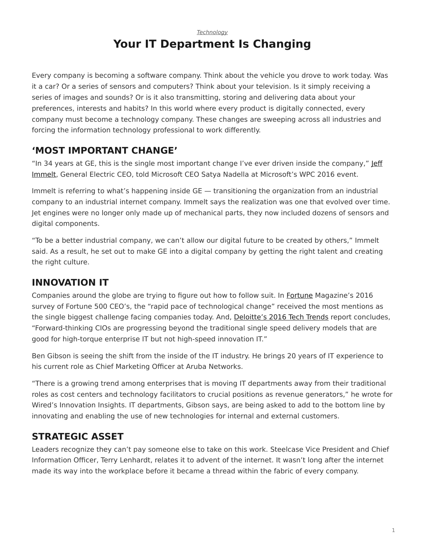#### *[Technology](https://www.steelcase.com/research/topics/technology/)* **Your IT Department Is Changing**

<span id="page-0-0"></span>Every company is becoming a software company. Think about the vehicle you drove to work today. Was it a car? Or a series of sensors and computers? Think about your television. Is it simply receiving a series of images and sounds? Or is it also transmitting, storing and delivering data about your preferences, interests and habits? In this world where every product is digitally connected, every company must become a technology company. These changes are sweeping across all industries and forcing the information technology professional to work differently.

#### **'MOST IMPORTANT CHANGE'**

"In 34 years at GE, this is the single most important change I've ever driven inside the company," [Jeff](https://www.youtube.com/watch?v=tMPFDUpnUd4) [Immelt,](https://www.youtube.com/watch?v=tMPFDUpnUd4) General Electric CEO, told Microsoft CEO Satya Nadella at Microsoft's WPC 2016 event.

Immelt is referring to what's happening inside GE — transitioning the organization from an industrial company to an industrial internet company. Immelt says the realization was one that evolved over time. Jet engines were no longer only made up of mechanical parts, they now included dozens of sensors and digital components.

"To be a better industrial company, we can't allow our digital future to be created by others," Immelt said. As a result, he set out to make GE into a digital company by getting the right talent and creating the right culture.

## **INNOVATION IT**

Companies around the globe are trying to figure out how to follow suit. In [Fortune](http://fortune.com/2016/06/03/challenges-facing-fortune-500/) Magazine's 2016 survey of Fortune 500 CEO's, the "rapid pace of technological change" received the most mentions as the single biggest challenge facing companies today. And, [Deloitte's 2016 Tech Trends](https://www2.deloitte.com/global/en/pages/technology/articles/tech-trends.html) report concludes, "Forward-thinking CIOs are progressing beyond the traditional single speed delivery models that are good for high-torque enterprise IT but not high-speed innovation IT."

Ben Gibson is seeing the shift from the inside of the IT industry. He brings 20 years of IT experience to his current role as Chief Marketing Officer at Aruba Networks.

"There is a growing trend among enterprises that is moving IT departments away from their traditional roles as cost centers and technology facilitators to crucial positions as revenue generators," he wrote for Wired's Innovation Insights. IT departments, Gibson says, are being asked to add to the bottom line by innovating and enabling the use of new technologies for internal and external customers.

#### **STRATEGIC ASSET**

Leaders recognize they can't pay someone else to take on this work. Steelcase Vice President and Chief Information Officer, Terry Lenhardt, relates it to advent of the internet. It wasn't long after the internet made its way into the workplace before it became a thread within the fabric of every company.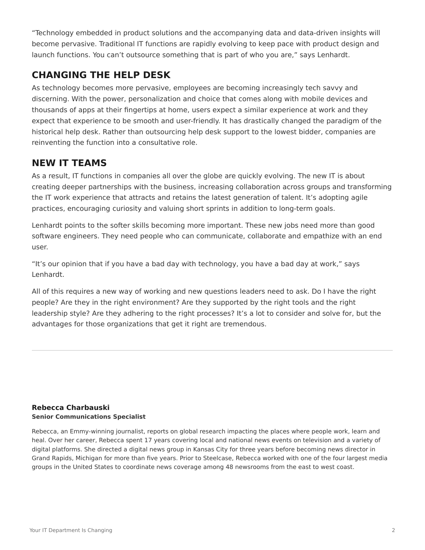"Technology embedded in product solutions and the accompanying data and data-driven insights will become pervasive. Traditional IT functions are rapidly evolving to keep pace with product design and launch functions. You can't outsource something that is part of who you are," says Lenhardt.

### **CHANGING THE HELP DESK**

As technology becomes more pervasive, employees are becoming increasingly tech savvy and discerning. With the power, personalization and choice that comes along with mobile devices and thousands of apps at their fingertips at home, users expect a similar experience at work and they expect that experience to be smooth and user-friendly. It has drastically changed the paradigm of the historical help desk. Rather than outsourcing help desk support to the lowest bidder, companies are reinventing the function into a consultative role.

#### **NEW IT TEAMS**

As a result, IT functions in companies all over the globe are quickly evolving. The new IT is about creating deeper partnerships with the business, increasing collaboration across groups and transforming the IT work experience that attracts and retains the latest generation of talent. It's adopting agile practices, encouraging curiosity and valuing short sprints in addition to long-term goals.

Lenhardt points to the softer skills becoming more important. These new jobs need more than good software engineers. They need people who can communicate, collaborate and empathize with an end user.

"It's our opinion that if you have a bad day with technology, you have a bad day at work," says Lenhardt.

All of this requires a new way of working and new questions leaders need to ask. Do I have the right people? Are they in the right environment? Are they supported by the right tools and the right leadership style? Are they adhering to the right processes? It's a lot to consider and solve for, but the advantages for those organizations that get it right are tremendous.

#### **[Rebecca Charbauski](https://www.steelcase.com/research/articles/author/rcharbausteelcase-com/) Senior Communications Specialist**

Rebecca, an Emmy-winning journalist, reports on global research impacting the places where people work, learn and heal. Over her career, Rebecca spent 17 years covering local and national news events on television and a variety of digital platforms. She directed a digital news group in Kansas City for three years before becoming news director in Grand Rapids, Michigan for more than five years. Prior to Steelcase, Rebecca worked with one of the four largest media groups in the United States to coordinate news coverage among 48 newsrooms from the east to west coast.